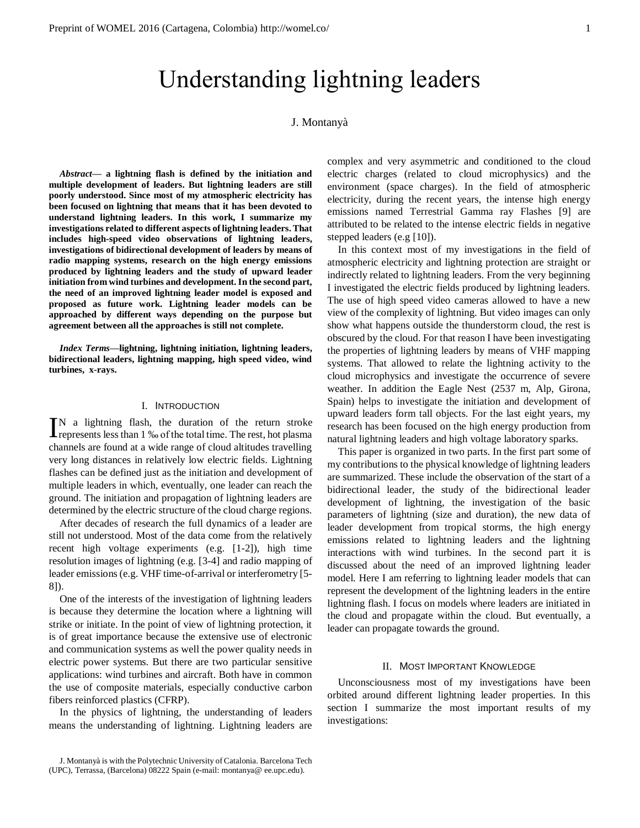# Understanding lightning leaders

# J. Montanyà

*Abstract***— a lightning flash is defined by the initiation and multiple development of leaders. But lightning leaders are still poorly understood. Since most of my atmospheric electricity has been focused on lightning that means that it has been devoted to understand lightning leaders. In this work, I summarize my investigations related to different aspects of lightning leaders. That includes high-speed video observations of lightning leaders, investigations of bidirectional development of leaders by means of radio mapping systems, research on the high energy emissions produced by lightning leaders and the study of upward leader initiation from wind turbines and development. In the second part, the need of an improved lightning leader model is exposed and proposed as future work. Lightning leader models can be approached by different ways depending on the purpose but agreement between all the approaches is still not complete.** 

*Index Terms***—lightning, lightning initiation, lightning leaders, bidirectional leaders, lightning mapping, high speed video, wind turbines, x-rays.**

## I. INTRODUCTION

N a lightning flash, the duration of the return stroke  $\prod$ N a lightning flash, the duration of the return stroke represents less than 1 ‰ of the total time. The rest, hot plasma channels are found at a wide range of cloud altitudes travelling very long distances in relatively low electric fields. Lightning flashes can be defined just as the initiation and development of multiple leaders in which, eventually, one leader can reach the ground. The initiation and propagation of lightning leaders are determined by the electric structure of the cloud charge regions.

After decades of research the full dynamics of a leader are still not understood. Most of the data come from the relatively recent high voltage experiments (e.g. [1-2]), high time resolution images of lightning (e.g. [3-4] and radio mapping of leader emissions (e.g. VHF time-of-arrival or interferometry [5- 8]).

One of the interests of the investigation of lightning leaders is because they determine the location where a lightning will strike or initiate. In the point of view of lightning protection, it is of great importance because the extensive use of electronic and communication systems as well the power quality needs in electric power systems. But there are two particular sensitive applications: wind turbines and aircraft. Both have in common the use of composite materials, especially conductive carbon fibers reinforced plastics (CFRP).

In the physics of lightning, the understanding of leaders means the understanding of lightning. Lightning leaders are complex and very asymmetric and conditioned to the cloud electric charges (related to cloud microphysics) and the environment (space charges). In the field of atmospheric electricity, during the recent years, the intense high energy emissions named Terrestrial Gamma ray Flashes [9] are attributed to be related to the intense electric fields in negative stepped leaders (e.g [10]).

In this context most of my investigations in the field of atmospheric electricity and lightning protection are straight or indirectly related to lightning leaders. From the very beginning I investigated the electric fields produced by lightning leaders. The use of high speed video cameras allowed to have a new view of the complexity of lightning. But video images can only show what happens outside the thunderstorm cloud, the rest is obscured by the cloud. For that reason I have been investigating the properties of lightning leaders by means of VHF mapping systems. That allowed to relate the lightning activity to the cloud microphysics and investigate the occurrence of severe weather. In addition the Eagle Nest (2537 m, Alp, Girona, Spain) helps to investigate the initiation and development of upward leaders form tall objects. For the last eight years, my research has been focused on the high energy production from natural lightning leaders and high voltage laboratory sparks.

This paper is organized in two parts. In the first part some of my contributions to the physical knowledge of lightning leaders are summarized. These include the observation of the start of a bidirectional leader, the study of the bidirectional leader development of lightning, the investigation of the basic parameters of lightning (size and duration), the new data of leader development from tropical storms, the high energy emissions related to lightning leaders and the lightning interactions with wind turbines. In the second part it is discussed about the need of an improved lightning leader model. Here I am referring to lightning leader models that can represent the development of the lightning leaders in the entire lightning flash. I focus on models where leaders are initiated in the cloud and propagate within the cloud. But eventually, a leader can propagate towards the ground.

## II. MOST IMPORTANT KNOWLEDGE

Unconsciousness most of my investigations have been orbited around different lightning leader properties. In this section I summarize the most important results of my investigations:

J. Montanyà is with the Polytechnic University of Catalonia. Barcelona Tech (UPC), Terrassa, (Barcelona) 08222 Spain (e-mail: montanya@ ee.upc.edu).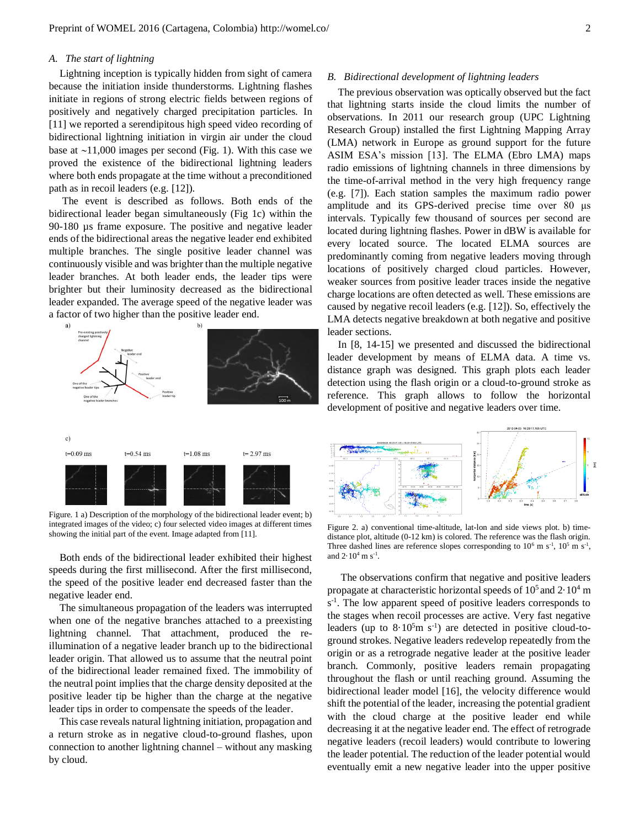## *A. The start of lightning*

Lightning inception is typically hidden from sight of camera because the initiation inside thunderstorms. Lightning flashes initiate in regions of strong electric fields between regions of positively and negatively charged precipitation particles. In [11] we reported a serendipitous high speed video recording of bidirectional lightning initiation in virgin air under the cloud base at  $\sim$ 11,000 images per second (Fig. 1). With this case we proved the existence of the bidirectional lightning leaders where both ends propagate at the time without a preconditioned path as in recoil leaders (e.g. [12]).

The event is described as follows. Both ends of the bidirectional leader began simultaneously (Fig 1c) within the 90-180 µs frame exposure. The positive and negative leader ends of the bidirectional areas the negative leader end exhibited multiple branches. The single positive leader channel was continuously visible and was brighter than the multiple negative leader branches. At both leader ends, the leader tips were brighter but their luminosity decreased as the bidirectional leader expanded. The average speed of the negative leader was a factor of two higher than the positive leader end.



Figure. 1 a) Description of the morphology of the bidirectional leader event; b) integrated images of the video; c) four selected video images at different times showing the initial part of the event. Image adapted from [11].

Both ends of the bidirectional leader exhibited their highest speeds during the first millisecond. After the first millisecond, the speed of the positive leader end decreased faster than the negative leader end.

The simultaneous propagation of the leaders was interrupted when one of the negative branches attached to a preexisting lightning channel. That attachment, produced the reillumination of a negative leader branch up to the bidirectional leader origin. That allowed us to assume that the neutral point of the bidirectional leader remained fixed. The immobility of the neutral point implies that the charge density deposited at the positive leader tip be higher than the charge at the negative leader tips in order to compensate the speeds of the leader.

This case reveals natural lightning initiation, propagation and a return stroke as in negative cloud-to-ground flashes, upon connection to another lightning channel – without any masking by cloud.

### *B. Bidirectional development of lightning leaders*

The previous observation was optically observed but the fact that lightning starts inside the cloud limits the number of observations. In 2011 our research group (UPC Lightning Research Group) installed the first Lightning Mapping Array (LMA) network in Europe as ground support for the future ASIM ESA's mission [13]. The ELMA (Ebro LMA) maps radio emissions of lightning channels in three dimensions by the time-of-arrival method in the very high frequency range (e.g. [7]). Each station samples the maximum radio power amplitude and its GPS-derived precise time over 80 μs intervals. Typically few thousand of sources per second are located during lightning flashes. Power in dBW is available for every located source. The located ELMA sources are predominantly coming from negative leaders moving through locations of positively charged cloud particles. However, weaker sources from positive leader traces inside the negative charge locations are often detected as well. These emissions are caused by negative recoil leaders (e.g. [12]). So, effectively the LMA detects negative breakdown at both negative and positive leader sections.

In [8, 14-15] we presented and discussed the bidirectional leader development by means of ELMA data. A time vs. distance graph was designed. This graph plots each leader detection using the flash origin or a cloud-to-ground stroke as reference. This graph allows to follow the horizontal development of positive and negative leaders over time.



Figure 2. a) conventional time-altitude, lat-lon and side views plot. b) timedistance plot, altitude (0-12 km) is colored. The reference was the flash origin. Three dashed lines are reference slopes corresponding to  $10^6$  m s<sup>-1</sup>,  $10^5$  m s<sup>-1</sup>, and  $2.10^4$  m s<sup>-1</sup>.

The observations confirm that negative and positive leaders propagate at characteristic horizontal speeds of  $10<sup>5</sup>$  and  $2 \cdot 10<sup>4</sup>$  m s<sup>-1</sup>. The low apparent speed of positive leaders corresponds to the stages when recoil processes are active. Very fast negative leaders (up to  $8.10<sup>5</sup>m s<sup>-1</sup>$ ) are detected in positive cloud-toground strokes. Negative leaders redevelop repeatedly from the origin or as a retrograde negative leader at the positive leader branch. Commonly, positive leaders remain propagating throughout the flash or until reaching ground. Assuming the bidirectional leader model [16], the velocity difference would shift the potential of the leader, increasing the potential gradient with the cloud charge at the positive leader end while decreasing it at the negative leader end. The effect of retrograde negative leaders (recoil leaders) would contribute to lowering the leader potential. The reduction of the leader potential would eventually emit a new negative leader into the upper positive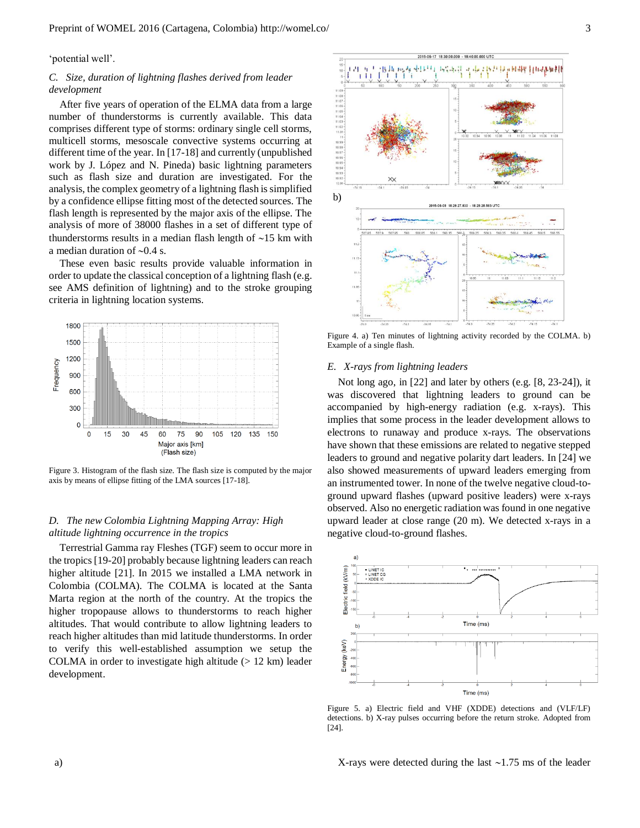'potential well'.

# *C. Size, duration of lightning flashes derived from leader development*

After five years of operation of the ELMA data from a large number of thunderstorms is currently available. This data comprises different type of storms: ordinary single cell storms, multicell storms, mesoscale convective systems occurring at different time of the year. In [17-18] and currently (unpublished work by J. López and N. Pineda) basic lightning parameters such as flash size and duration are investigated. For the analysis, the complex geometry of a lightning flash is simplified by a confidence ellipse fitting most of the detected sources. The flash length is represented by the major axis of the ellipse. The analysis of more of 38000 flashes in a set of different type of thunderstorms results in a median flash length of  $\sim$ 15 km with a median duration of  $\sim 0.4$  s.

These even basic results provide valuable information in order to update the classical conception of a lightning flash (e.g. see AMS definition of lightning) and to the stroke grouping criteria in lightning location systems.



Figure 3. Histogram of the flash size. The flash size is computed by the major axis by means of ellipse fitting of the LMA sources [17-18].

# *D. The new Colombia Lightning Mapping Array: High altitude lightning occurrence in the tropics*

Terrestrial Gamma ray Fleshes (TGF) seem to occur more in the tropics [19-20] probably because lightning leaders can reach higher altitude [21]. In 2015 we installed a LMA network in Colombia (COLMA). The COLMA is located at the Santa Marta region at the north of the country. At the tropics the higher tropopause allows to thunderstorms to reach higher altitudes. That would contribute to allow lightning leaders to reach higher altitudes than mid latitude thunderstorms. In order to verify this well-established assumption we setup the COLMA in order to investigate high altitude  $(> 12 \text{ km})$  leader development.



Figure 4. a) Ten minutes of lightning activity recorded by the COLMA. b) Example of a single flash.

## *E. X-rays from lightning leaders*

Not long ago, in [22] and later by others (e.g. [8, 23-24]), it was discovered that lightning leaders to ground can be accompanied by high-energy radiation (e.g. x-rays). This implies that some process in the leader development allows to electrons to runaway and produce x-rays. The observations have shown that these emissions are related to negative stepped leaders to ground and negative polarity dart leaders. In [24] we also showed measurements of upward leaders emerging from an instrumented tower. In none of the twelve negative cloud-toground upward flashes (upward positive leaders) were x-rays observed. Also no energetic radiation was found in one negative upward leader at close range (20 m). We detected x-rays in a negative cloud-to-ground flashes.



Figure 5. a) Electric field and VHF (XDDE) detections and (VLF/LF) detections. b) X-ray pulses occurring before the return stroke. Adopted from [24].

X-rays were detected during the last  $\sim$ 1.75 ms of the leader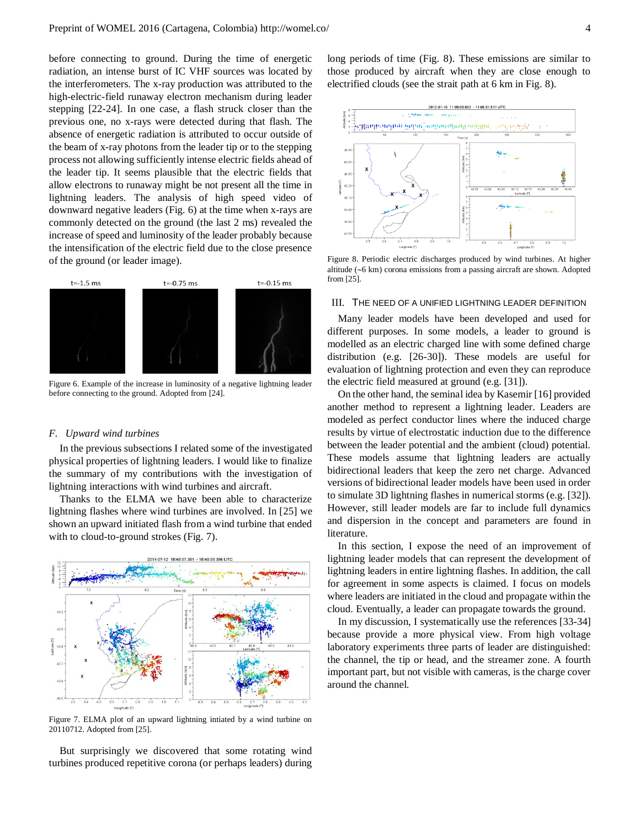before connecting to ground. During the time of energetic radiation, an intense burst of IC VHF sources was located by the interferometers. The x-ray production was attributed to the high-electric-field runaway electron mechanism during leader stepping [22-24]. In one case, a flash struck closer than the previous one, no x-rays were detected during that flash. The absence of energetic radiation is attributed to occur outside of the beam of x-ray photons from the leader tip or to the stepping process not allowing sufficiently intense electric fields ahead of the leader tip. It seems plausible that the electric fields that allow electrons to runaway might be not present all the time in lightning leaders. The analysis of high speed video of downward negative leaders (Fig. 6) at the time when x-rays are commonly detected on the ground (the last 2 ms) revealed the increase of speed and luminosity of the leader probably because the intensification of the electric field due to the close presence of the ground (or leader image).



Figure 6. Example of the increase in luminosity of a negative lightning leader before connecting to the ground. Adopted from [24].

#### *F. Upward wind turbines*

In the previous subsections I related some of the investigated physical properties of lightning leaders. I would like to finalize the summary of my contributions with the investigation of lightning interactions with wind turbines and aircraft.

Thanks to the ELMA we have been able to characterize lightning flashes where wind turbines are involved. In [25] we shown an upward initiated flash from a wind turbine that ended with to cloud-to-ground strokes (Fig. 7).



Figure 7. ELMA plot of an upward lightning intiated by a wind turbine on 20110712. Adopted from [25].

But surprisingly we discovered that some rotating wind turbines produced repetitive corona (or perhaps leaders) during long periods of time (Fig. 8). These emissions are similar to those produced by aircraft when they are close enough to electrified clouds (see the strait path at 6 km in Fig. 8).



Figure 8. Periodic electric discharges produced by wind turbines. At higher altitude  $(-6 \text{ km})$  corona emissions from a passing aircraft are shown. Adopted from [25].

#### III. THE NEED OF A UNIFIED LIGHTNING LEADER DEFINITION

Many leader models have been developed and used for different purposes. In some models, a leader to ground is modelled as an electric charged line with some defined charge distribution (e.g. [26-30]). These models are useful for evaluation of lightning protection and even they can reproduce the electric field measured at ground (e.g. [31]).

On the other hand, the seminal idea by Kasemir [16] provided another method to represent a lightning leader. Leaders are modeled as perfect conductor lines where the induced charge results by virtue of electrostatic induction due to the difference between the leader potential and the ambient (cloud) potential. These models assume that lightning leaders are actually bidirectional leaders that keep the zero net charge. Advanced versions of bidirectional leader models have been used in order to simulate 3D lightning flashes in numerical storms (e.g. [32]). However, still leader models are far to include full dynamics and dispersion in the concept and parameters are found in literature.

In this section, I expose the need of an improvement of lightning leader models that can represent the development of lightning leaders in entire lightning flashes. In addition, the call for agreement in some aspects is claimed. I focus on models where leaders are initiated in the cloud and propagate within the cloud. Eventually, a leader can propagate towards the ground.

In my discussion, I systematically use the references [33-34] because provide a more physical view. From high voltage laboratory experiments three parts of leader are distinguished: the channel, the tip or head, and the streamer zone. A fourth important part, but not visible with cameras, is the charge cover around the channel.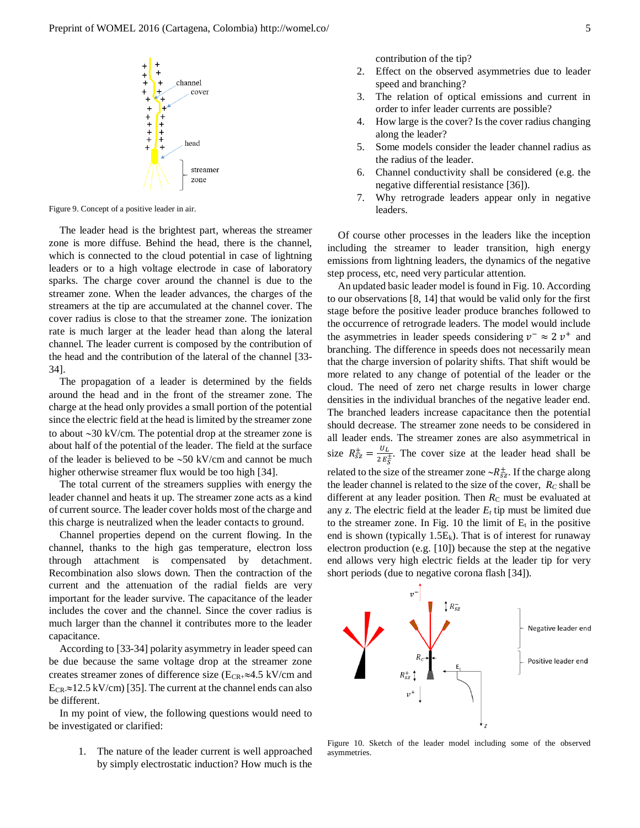

Figure 9. Concept of a positive leader in air.

The leader head is the brightest part, whereas the streamer zone is more diffuse. Behind the head, there is the channel, which is connected to the cloud potential in case of lightning leaders or to a high voltage electrode in case of laboratory sparks. The charge cover around the channel is due to the streamer zone. When the leader advances, the charges of the streamers at the tip are accumulated at the channel cover. The cover radius is close to that the streamer zone. The ionization rate is much larger at the leader head than along the lateral channel. The leader current is composed by the contribution of the head and the contribution of the lateral of the channel [33- 34].

The propagation of a leader is determined by the fields around the head and in the front of the streamer zone. The charge at the head only provides a small portion of the potential since the electric field at the head is limited by the streamer zone to about  $\sim$ 30 kV/cm. The potential drop at the streamer zone is about half of the potential of the leader. The field at the surface of the leader is believed to be  $\sim$  50 kV/cm and cannot be much higher otherwise streamer flux would be too high [34].

The total current of the streamers supplies with energy the leader channel and heats it up. The streamer zone acts as a kind of current source. The leader cover holds most of the charge and this charge is neutralized when the leader contacts to ground.

Channel properties depend on the current flowing. In the channel, thanks to the high gas temperature, electron loss through attachment is compensated by detachment. Recombination also slows down. Then the contraction of the current and the attenuation of the radial fields are very important for the leader survive. The capacitance of the leader includes the cover and the channel. Since the cover radius is much larger than the channel it contributes more to the leader capacitance.

According to [33-34] polarity asymmetry in leader speed can be due because the same voltage drop at the streamer zone creates streamer zones of difference size ( $E_{CR+} \approx 4.5$  kV/cm and  $E_{CR} \approx 12.5 \text{ kV/cm}$  [35]. The current at the channel ends can also be different.

In my point of view, the following questions would need to be investigated or clarified:

> 1. The nature of the leader current is well approached by simply electrostatic induction? How much is the

contribution of the tip?

- 2. Effect on the observed asymmetries due to leader speed and branching?
- 3. The relation of optical emissions and current in order to infer leader currents are possible?
- 4. How large is the cover? Is the cover radius changing along the leader?
- 5. Some models consider the leader channel radius as the radius of the leader.
- 6. Channel conductivity shall be considered (e.g. the negative differential resistance [36]).
- 7. Why retrograde leaders appear only in negative leaders.

Of course other processes in the leaders like the inception including the streamer to leader transition, high energy emissions from lightning leaders, the dynamics of the negative step process, etc, need very particular attention.

An updated basic leader model is found in Fig. 10. According to our observations [8, 14] that would be valid only for the first stage before the positive leader produce branches followed to the occurrence of retrograde leaders. The model would include the asymmetries in leader speeds considering  $v^- \approx 2 v^+$  and branching. The difference in speeds does not necessarily mean that the charge inversion of polarity shifts. That shift would be more related to any change of potential of the leader or the cloud. The need of zero net charge results in lower charge densities in the individual branches of the negative leader end. The branched leaders increase capacitance then the potential should decrease. The streamer zone needs to be considered in all leader ends. The streamer zones are also asymmetrical in size  $R_{sz}^{\pm} = \frac{U_L}{2 E}$  $\frac{\partial L}{\partial E_S^{\pm}}$ . The cover size at the leader head shall be related to the size of the streamer zone  $\sim R_{sz}^{\pm}$ . If the charge along the leader channel is related to the size of the cover, *R<sup>C</sup>* shall be different at any leader position. Then  $R<sub>C</sub>$  must be evaluated at any  $z$ . The electric field at the leader  $E_t$  tip must be limited due to the streamer zone. In Fig. 10 the limit of  $E_t$  in the positive end is shown (typically  $1.5E_k$ ). That is of interest for runaway electron production (e.g. [10]) because the step at the negative end allows very high electric fields at the leader tip for very short periods (due to negative corona flash [34]).



Figure 10. Sketch of the leader model including some of the observed asymmetries.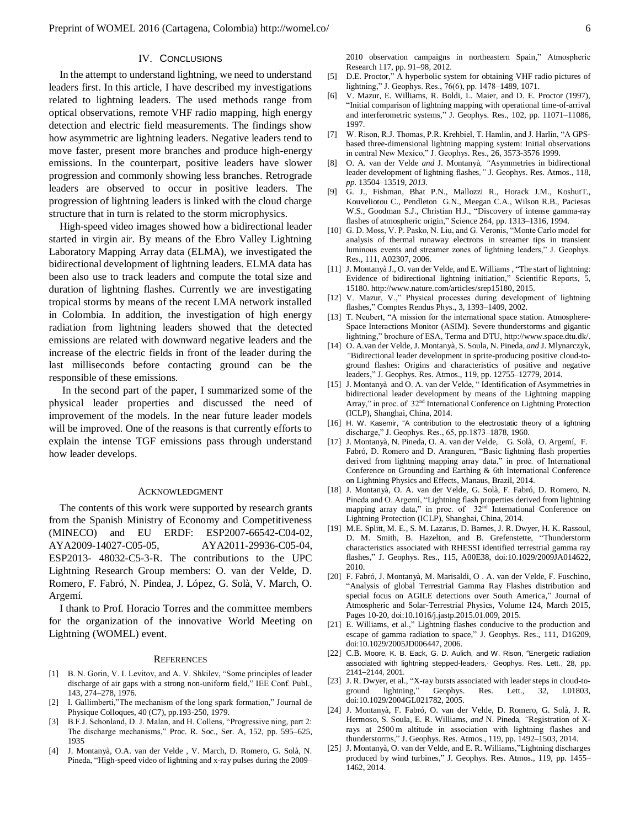# IV. CONCLUSIONS

In the attempt to understand lightning, we need to understand leaders first. In this article, I have described my investigations related to lightning leaders. The used methods range from optical observations, remote VHF radio mapping, high energy detection and electric field measurements. The findings show how asymmetric are lightning leaders. Negative leaders tend to move faster, present more branches and produce high-energy emissions. In the counterpart, positive leaders have slower progression and commonly showing less branches. Retrograde leaders are observed to occur in positive leaders. The progression of lightning leaders is linked with the cloud charge structure that in turn is related to the storm microphysics.

High-speed video images showed how a bidirectional leader started in virgin air. By means of the Ebro Valley Lightning Laboratory Mapping Array data (ELMA), we investigated the bidirectional development of lightning leaders. ELMA data has been also use to track leaders and compute the total size and duration of lightning flashes. Currently we are investigating tropical storms by means of the recent LMA network installed in Colombia. In addition, the investigation of high energy radiation from lightning leaders showed that the detected emissions are related with downward negative leaders and the increase of the electric fields in front of the leader during the last milliseconds before contacting ground can be the responsible of these emissions.

In the second part of the paper, I summarized some of the physical leader properties and discussed the need of improvement of the models. In the near future leader models will be improved. One of the reasons is that currently efforts to explain the intense TGF emissions pass through understand how leader develops.

#### ACKNOWLEDGMENT

The contents of this work were supported by research grants from the Spanish Ministry of Economy and Competitiveness (MINECO) and EU ERDF: ESP2007-66542-C04-02, AYA2009-14027-C05-05, AYA2011-29936-C05-04, ESP2013- 48032-C5-3-R. The contributions to the UPC Lightning Research Group members: O. van der Velde, D. Romero, F. Fabró, N. Pindea, J. López, G. Solà, V. March, O. Argemí.

I thank to Prof. Horacio Torres and the committee members for the organization of the innovative World Meeting on Lightning (WOMEL) event.

#### **REFERENCES**

- [1] B. N. Gorin, V. I. Levitov, and A. V. Shkilev, "Some principles of leader discharge of air gaps with a strong non-uniform field," IEE Conf. Publ., 143, 274–278, 1976.
- [2] I. Gallimberti,"The mechanism of the long spark formation," Journal de Physique Colloques, 40 (C7), pp.193-250, 1979.
- [3] B.F.J. Schonland, D. J. Malan, and H. Collens, "Progressive ning, part 2: The discharge mechanisms," Proc. R. Soc., Ser. A, 152, pp. 595–625, 1935
- [4] J. Montanyà, O.A. van der Velde , V. March, D. Romero, G. Solà, N. Pineda, "High-speed video of lightning and x-ray pulses during the 2009–

2010 observation campaigns in northeastern Spain," Atmospheric Research 117, pp. 91–98, 2012.

- [5] D.E. Proctor," A hyperbolic system for obtaining VHF radio pictures of lightning," J. Geophys. Res., 76(6), pp. 1478–1489, 1071.
- [6] V. Mazur, E. Williams, R. Boldi, L. Maier, and D. E. Proctor (1997), "Initial comparison of lightning mapping with operational time-of-arrival and interferometric systems," J. Geophys. Res., 102, pp. 11071–11086, 1997.
- [7] W. Rison, R.J. Thomas, P.R. Krehbiel, T. Hamlin, and J. Harlin, "A GPSbased three-dimensional lightning mapping system: Initial observations in central New Mexico," J. Geophys. Res., 26, 3573-3576 1999.
- [8] O. A. van der Velde *and* J. Montanyà*, "*Asymmetries in bidirectional leader development of lightning flashes*,"* J. Geophys. Res. Atmos.*,* 118*, pp.* 13504*–*13519*, 2013.*
- [9] G. J., Fishman, Bhat P.N., Mallozzi R., Horack J.M., KoshutT., Kouveliotou C., Pendleton G.N., Meegan C.A., Wilson R.B., Paciesas W.S., Goodman S.J., Christian H.J., "Discovery of intense gamma-ray flashes of atmospheric origin," Science 264, pp. 1313–1316, 1994.
- [10] G. D. Moss, V. P. Pasko, N. Liu, and G. Veronis, "Monte Carlo model for analysis of thermal runaway electrons in streamer tips in transient luminous events and streamer zones of lightning leaders," J. Geophys. Res., 111, A02307, 2006.
- [11] J. Montanyà J., O. van der Velde, and E. Williams , "The start of lightning: Evidence of bidirectional lightning initiation," Scientific Reports, 5, 15180[. http://www.nature.com/articles/srep15180,](http://www.nature.com/articles/srep15180) 2015.
- [12] V. Mazur, V.," Physical processes during development of lightning flashes," Comptes Rendus Phys., 3, 1393–1409, 2002.
- [13] T. Neubert, "A mission for the international space station. Atmosphere-Space Interactions Monitor (ASIM). Severe thunderstorms and gigantic lightning," brochure of ESA, Terma and DTU, http://www.space.dtu.dk/.
- [14] O. A.van der Velde*,* J. Montanyà*,* S. Soula*,* N. Pineda*, and* J. Mlynarczyk*, "*Bidirectional leader development in sprite-producing positive cloud-toground flashes: Origins and characteristics of positive and negative leaders," J. Geophys. Res. Atmos., 119, pp. 12755–12779, 2014.
- [15] J. Montanyà and O. A. van der Velde, " Identification of Asymmetries in bidirectional leader development by means of the Lightning mapping Array," in proc. of  $32<sup>nd</sup>$  International Conference on Lightning Protection (ICLP), Shanghai, China, 2014.
- [16] H. W. Kasemir, "A contribution to the electrostatic theory of a lightning discharge," J. Geophys. Res., 65, pp.1873–1878, 1960.
- [17] J. Montanyà, N. Pineda, O. A. van der Velde, G. Solà, O. Argemí, F. Fabró, D. Romero and D. Aranguren, "Basic lightning flash properties derived from lightning mapping array data," in proc. of International Conference on Grounding and Earthing & 6th International Conference on Lightning Physics and Effects, Manaus, Brazil, 2014.
- [18] J. Montanyà, O. A. van der Velde, G. Solà, F. Fabró, D. Romero, N. Pineda and O. Argemí, "Lightning flash properties derived from lightning mapping array data," in proc. of 32<sup>nd</sup> International Conference on Lightning Protection (ICLP), Shanghai, China, 2014.
- [19] M.E. Splitt, M. E., S. M. Lazarus, D. Barnes, J. R. Dwyer, H. K. Rassoul, D. M. Smith, B. Hazelton, and B. Grefenstette, "Thunderstorm characteristics associated with RHESSI identified terrestrial gamma ray flashes," J. Geophys. Res., 115, A00E38, doi[:10.1029/2009JA014622,](http://dx.doi.org/10.1029/2009JA014622) 2010.
- [20] F. Fabró, J. Montanyà, M. Marisaldi, O . A. van der Velde, F. Fuschino, "Analysis of global Terrestrial Gamma Ray Flashes distribution and special focus on AGILE detections over South America," Journal of Atmospheric and Solar-Terrestrial Physics, Volume 124, March 2015, Pages 10-20, doi:10.1016/j.jastp.2015.01.009, 2015.
- [21] E. Williams, et al.," Lightning flashes conducive to the production and escape of gamma radiation to space," J. Geophys. Res., 111, D16209, do[i:10.1029/2005JD006447,](http://dx.doi.org/10.1029/2005JD006447) 2006.
- [22] C.B. Moore, K. B. Eack, G. D. Aulich, and W. Rison, "Energetic radiation associated with lightning stepped-leaders,· Geophys. Res. Lett., 28, pp. 2141–2144, 2001.
- [23] J. R. Dwyer, et al., "X-ray bursts associated with leader steps in cloud-to-<br>ground lightning," Geophys. Res. Lett., 32, L01803, ground lightning," Geophys. Res. Lett.,  $32$ , do[i:10.1029/2004GL021782,](http://dx.doi.org/10.1029/2004GL021782) 2005.
- [24] J. Montanyà*,* F. Fabró*,* O. van der Velde*,* D. Romero*,* G. Solà*,* J. R. Hermoso*,* S. Soula*,* E. R. Williams*, and* N. Pineda*, "*Registration of Xrays at 2500 m altitude in association with lightning flashes and thunderstorms," J. Geophys. Res. Atmos., 119, pp. 1492–1503, 2014.
- [25] J. Montanyà, O. van der Velde, and E. R. Williams,"Lightning discharges produced by wind turbines," J. Geophys. Res. Atmos., 119, pp. 1455– 1462, 2014.